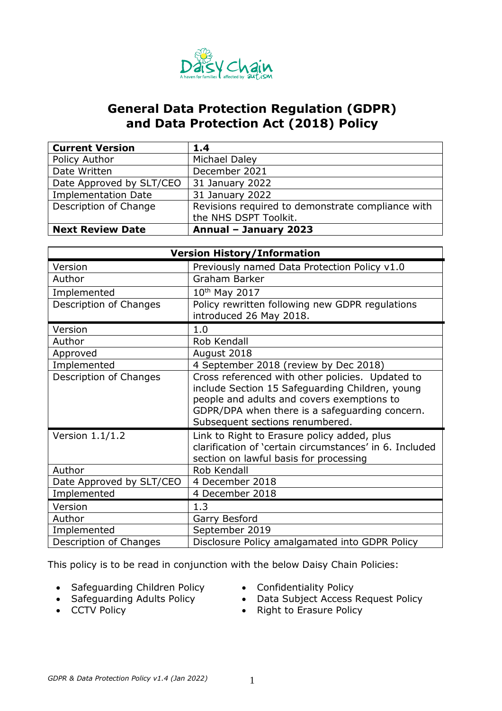

# **General Data Protection Regulation (GDPR) and Data Protection Act (2018) Policy**

| <b>Current Version</b>     | 1.4                                               |
|----------------------------|---------------------------------------------------|
| Policy Author              | Michael Daley                                     |
| Date Written               | December 2021                                     |
| Date Approved by SLT/CEO   | 31 January 2022                                   |
| <b>Implementation Date</b> | 31 January 2022                                   |
| Description of Change      | Revisions required to demonstrate compliance with |
|                            | the NHS DSPT Toolkit.                             |
| <b>Next Review Date</b>    | Annual - January 2023                             |

| <b>Version History/Information</b> |                                                                                                                                                                                                                                        |  |  |  |  |
|------------------------------------|----------------------------------------------------------------------------------------------------------------------------------------------------------------------------------------------------------------------------------------|--|--|--|--|
| Version                            | Previously named Data Protection Policy v1.0                                                                                                                                                                                           |  |  |  |  |
| Author                             | Graham Barker                                                                                                                                                                                                                          |  |  |  |  |
| Implemented                        | 10 <sup>th</sup> May 2017                                                                                                                                                                                                              |  |  |  |  |
| Description of Changes             | Policy rewritten following new GDPR regulations<br>introduced 26 May 2018.                                                                                                                                                             |  |  |  |  |
|                                    |                                                                                                                                                                                                                                        |  |  |  |  |
| Version                            | 1.0                                                                                                                                                                                                                                    |  |  |  |  |
| Author                             | Rob Kendall                                                                                                                                                                                                                            |  |  |  |  |
| Approved                           | August 2018                                                                                                                                                                                                                            |  |  |  |  |
| Implemented                        | 4 September 2018 (review by Dec 2018)                                                                                                                                                                                                  |  |  |  |  |
| Description of Changes             | Cross referenced with other policies. Updated to<br>include Section 15 Safeguarding Children, young<br>people and adults and covers exemptions to<br>GDPR/DPA when there is a safeguarding concern.<br>Subsequent sections renumbered. |  |  |  |  |
| Version $1.1/1.2$                  | Link to Right to Erasure policy added, plus<br>clarification of 'certain circumstances' in 6. Included<br>section on lawful basis for processing                                                                                       |  |  |  |  |
| Author                             | Rob Kendall                                                                                                                                                                                                                            |  |  |  |  |
| Date Approved by SLT/CEO           | 4 December 2018                                                                                                                                                                                                                        |  |  |  |  |
| Implemented                        | 4 December 2018                                                                                                                                                                                                                        |  |  |  |  |
| Version                            | 1.3                                                                                                                                                                                                                                    |  |  |  |  |
| Author                             | Garry Besford                                                                                                                                                                                                                          |  |  |  |  |
| Implemented                        | September 2019                                                                                                                                                                                                                         |  |  |  |  |
| Description of Changes             | Disclosure Policy amalgamated into GDPR Policy                                                                                                                                                                                         |  |  |  |  |

This policy is to be read in conjunction with the below Daisy Chain Policies:

- Safeguarding Children Policy
- Safeguarding Adults Policy
- Confidentiality Policy
- Data Subject Access Request Policy

• CCTV Policy

• Right to Erasure Policy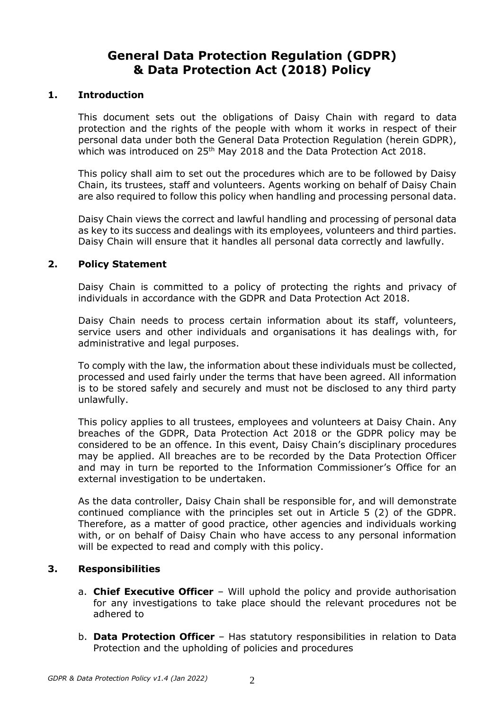# **General Data Protection Regulation (GDPR) & Data Protection Act (2018) Policy**

#### **1. Introduction**

This document sets out the obligations of Daisy Chain with regard to data protection and the rights of the people with whom it works in respect of their personal data under both the General Data Protection Regulation (herein GDPR), which was introduced on 25<sup>th</sup> May 2018 and the Data Protection Act 2018.

This policy shall aim to set out the procedures which are to be followed by Daisy Chain, its trustees, staff and volunteers. Agents working on behalf of Daisy Chain are also required to follow this policy when handling and processing personal data.

Daisy Chain views the correct and lawful handling and processing of personal data as key to its success and dealings with its employees, volunteers and third parties. Daisy Chain will ensure that it handles all personal data correctly and lawfully.

#### **2. Policy Statement**

Daisy Chain is committed to a policy of protecting the rights and privacy of individuals in accordance with the GDPR and Data Protection Act 2018.

Daisy Chain needs to process certain information about its staff, volunteers, service users and other individuals and organisations it has dealings with, for administrative and legal purposes.

To comply with the law, the information about these individuals must be collected, processed and used fairly under the terms that have been agreed. All information is to be stored safely and securely and must not be disclosed to any third party unlawfully.

This policy applies to all trustees, employees and volunteers at Daisy Chain. Any breaches of the GDPR, Data Protection Act 2018 or the GDPR policy may be considered to be an offence. In this event, Daisy Chain's disciplinary procedures may be applied. All breaches are to be recorded by the Data Protection Officer and may in turn be reported to the Information Commissioner's Office for an external investigation to be undertaken.

As the data controller, Daisy Chain shall be responsible for, and will demonstrate continued compliance with the principles set out in Article 5 (2) of the GDPR. Therefore, as a matter of good practice, other agencies and individuals working with, or on behalf of Daisy Chain who have access to any personal information will be expected to read and comply with this policy.

#### **3. Responsibilities**

- a. **Chief Executive Officer** Will uphold the policy and provide authorisation for any investigations to take place should the relevant procedures not be adhered to
- b. **Data Protection Officer**  Has statutory responsibilities in relation to Data Protection and the upholding of policies and procedures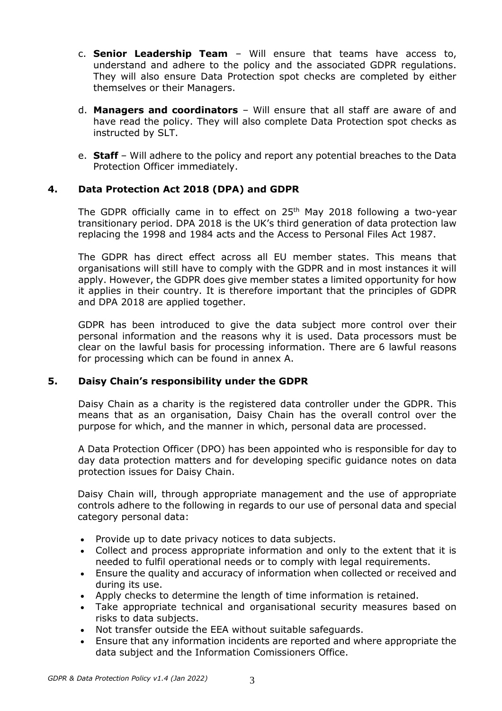- c. **Senior Leadership Team** Will ensure that teams have access to, understand and adhere to the policy and the associated GDPR regulations. They will also ensure Data Protection spot checks are completed by either themselves or their Managers.
- d. **Managers and coordinators** Will ensure that all staff are aware of and have read the policy. They will also complete Data Protection spot checks as instructed by SLT.
- e. **Staff**  Will adhere to the policy and report any potential breaches to the Data Protection Officer immediately.

### **4. Data Protection Act 2018 (DPA) and GDPR**

The GDPR officially came in to effect on 25<sup>th</sup> May 2018 following a two-year transitionary period. DPA 2018 is the UK's third generation of data protection law replacing the 1998 and 1984 acts and the Access to Personal Files Act 1987.

The GDPR has direct effect across all EU member states. This means that organisations will still have to comply with the GDPR and in most instances it will apply. However, the GDPR does give member states a limited opportunity for how it applies in their country. It is therefore important that the principles of GDPR and DPA 2018 are applied together.

GDPR has been introduced to give the data subject more control over their personal information and the reasons why it is used. Data processors must be clear on the lawful basis for processing information. There are 6 lawful reasons for processing which can be found in annex A.

#### **5. Daisy Chain's responsibility under the GDPR**

Daisy Chain as a charity is the registered data controller under the GDPR. This means that as an organisation, Daisy Chain has the overall control over the purpose for which, and the manner in which, personal data are processed.

A Data Protection Officer (DPO) has been appointed who is responsible for day to day data protection matters and for developing specific guidance notes on data protection issues for Daisy Chain.

Daisy Chain will, through appropriate management and the use of appropriate controls adhere to the following in regards to our use of personal data and special category personal data:

- Provide up to date privacy notices to data subjects.
- Collect and process appropriate information and only to the extent that it is needed to fulfil operational needs or to comply with legal requirements.
- Ensure the quality and accuracy of information when collected or received and during its use.
- Apply checks to determine the length of time information is retained.
- Take appropriate technical and organisational security measures based on risks to data subjects.
- Not transfer outside the EEA without suitable safeguards.
- Ensure that any information incidents are reported and where appropriate the data subject and the Information Comissioners Office.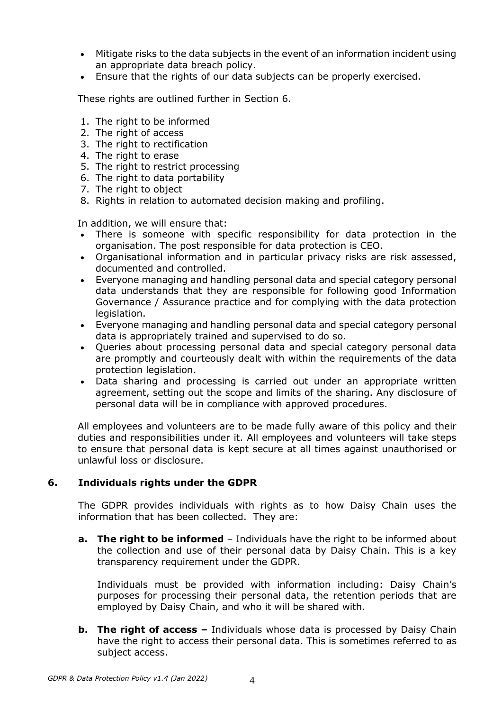- Mitigate risks to the data subjects in the event of an information incident using an appropriate data breach policy.
- Ensure that the rights of our data subjects can be properly exercised.

These rights are outlined further in Section 6.

- 1. The right to be informed
- 2. The right of access
- 3. The right to rectification
- 4. The right to erase
- 5. The right to restrict processing
- 6. The right to data portability
- 7. The right to object
- 8. Rights in relation to automated decision making and profiling.

In addition, we will ensure that:

- There is someone with specific responsibility for data protection in the organisation. The post responsible for data protection is CEO.
- Organisational information and in particular privacy risks are risk assessed, documented and controlled.
- Everyone managing and handling personal data and special category personal data understands that they are responsible for following good Information Governance / Assurance practice and for complying with the data protection legislation.
- Everyone managing and handling personal data and special category personal data is appropriately trained and supervised to do so.
- Queries about processing personal data and special category personal data are promptly and courteously dealt with within the requirements of the data protection legislation.
- Data sharing and processing is carried out under an appropriate written agreement, setting out the scope and limits of the sharing. Any disclosure of personal data will be in compliance with approved procedures.

All employees and volunteers are to be made fully aware of this policy and their duties and responsibilities under it. All employees and volunteers will take steps to ensure that personal data is kept secure at all times against unauthorised or unlawful loss or disclosure.

### **6. Individuals rights under the GDPR**

The GDPR provides individuals with rights as to how Daisy Chain uses the information that has been collected. They are:

**a.** The right to be informed – Individuals have the right to be informed about the collection and use of their personal data by Daisy Chain. This is a key transparency requirement under the GDPR.

Individuals must be provided with information including: Daisy Chain's purposes for processing their personal data, the retention periods that are employed by Daisy Chain, and who it will be shared with.

**b.** The right of access – Individuals whose data is processed by Daisy Chain have the right to access their personal data. This is sometimes referred to as subject access.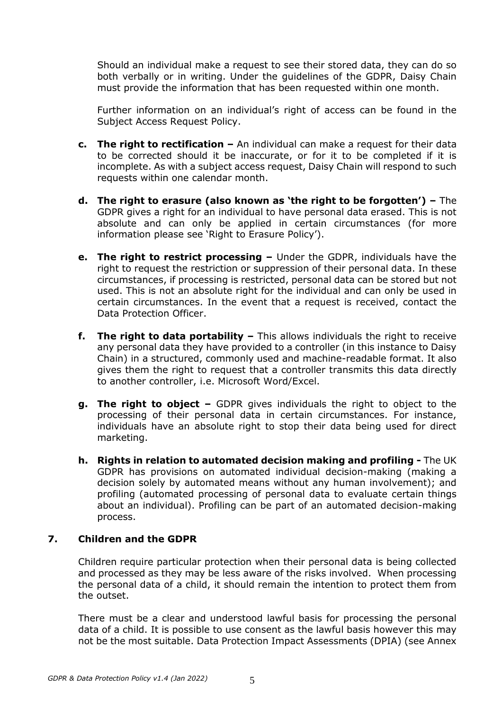Should an individual make a request to see their stored data, they can do so both verbally or in writing. Under the guidelines of the GDPR, Daisy Chain must provide the information that has been requested within one month.

Further information on an individual's right of access can be found in the Subject Access Request Policy.

- **c. The right to rectification –** An individual can make a request for their data to be corrected should it be inaccurate, or for it to be completed if it is incomplete. As with a subject access request, Daisy Chain will respond to such requests within one calendar month.
- **d. The right to erasure (also known as 'the right to be forgotten') –** The GDPR gives a right for an individual to have personal data erased. This is not absolute and can only be applied in certain circumstances (for more information please see 'Right to Erasure Policy').
- **e. The right to restrict processing –** Under the GDPR, individuals have the right to request the restriction or suppression of their personal data. In these circumstances, if processing is restricted, personal data can be stored but not used. This is not an absolute right for the individual and can only be used in certain circumstances. In the event that a request is received, contact the Data Protection Officer.
- **f. The right to data portability –** This allows individuals the right to receive any personal data they have provided to a controller (in this instance to Daisy Chain) in a structured, commonly used and machine-readable format. It also gives them the right to request that a controller transmits this data directly to another controller, i.e. Microsoft Word/Excel.
- **g. The right to object –** GDPR gives individuals the right to object to the processing of their personal data in certain circumstances. For instance, individuals have an absolute right to stop their data being used for direct marketing.
- **h. Rights in relation to automated decision making and profiling -** The UK GDPR has provisions on automated individual decision-making (making a decision solely by automated means without any human involvement); and profiling (automated processing of personal data to evaluate certain things about an individual). Profiling can be part of an automated decision-making process.

#### **7. Children and the GDPR**

Children require particular protection when their personal data is being collected and processed as they may be less aware of the risks involved. When processing the personal data of a child, it should remain the intention to protect them from the outset.

There must be a clear and understood lawful basis for processing the personal data of a child. It is possible to use consent as the lawful basis however this may not be the most suitable. Data Protection Impact Assessments (DPIA) (see Annex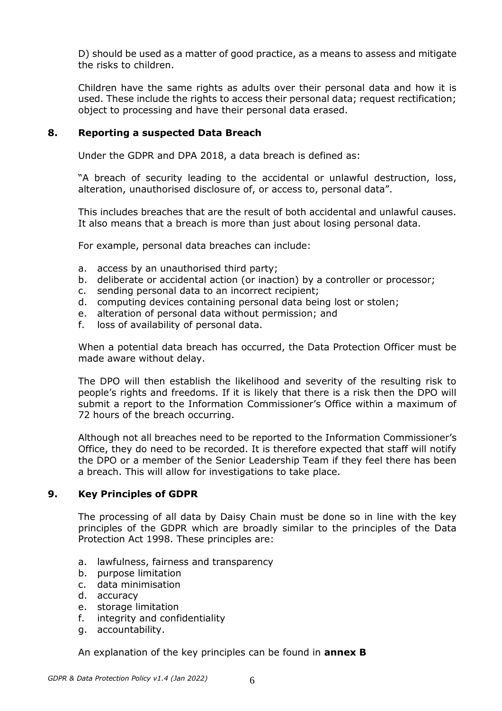D) should be used as a matter of good practice, as a means to assess and mitigate the risks to children.

Children have the same rights as adults over their personal data and how it is used. These include the rights to access their personal data; request rectification; object to processing and have their personal data erased.

#### **8. Reporting a suspected Data Breach**

Under the GDPR and DPA 2018, a data breach is defined as:

"A breach of security leading to the accidental or unlawful destruction, loss, alteration, unauthorised disclosure of, or access to, personal data".

This includes breaches that are the result of both accidental and unlawful causes. It also means that a breach is more than just about losing personal data.

For example, personal data breaches can include:

- a. access by an unauthorised third party;
- b. deliberate or accidental action (or inaction) by a controller or processor;
- c. sending personal data to an incorrect recipient;
- d. computing devices containing personal data being lost or stolen;
- e. alteration of personal data without permission; and
- f. loss of availability of personal data.

When a potential data breach has occurred, the Data Protection Officer must be made aware without delay.

The DPO will then establish the likelihood and severity of the resulting risk to people's rights and freedoms. If it is likely that there is a risk then the DPO will submit a report to the Information Commissioner's Office within a maximum of 72 hours of the breach occurring.

Although not all breaches need to be reported to the Information Commissioner's Office, they do need to be recorded. It is therefore expected that staff will notify the DPO or a member of the Senior Leadership Team if they feel there has been a breach. This will allow for investigations to take place.

#### **9. Key Principles of GDPR**

The processing of all data by Daisy Chain must be done so in line with the key principles of the GDPR which are broadly similar to the principles of the Data Protection Act 1998. These principles are:

- a. lawfulness, fairness and transparency
- b. purpose limitation
- c. data minimisation
- d. accuracy
- e. storage limitation
- f. integrity and confidentiality
- g. accountability.

An explanation of the key principles can be found in **annex B**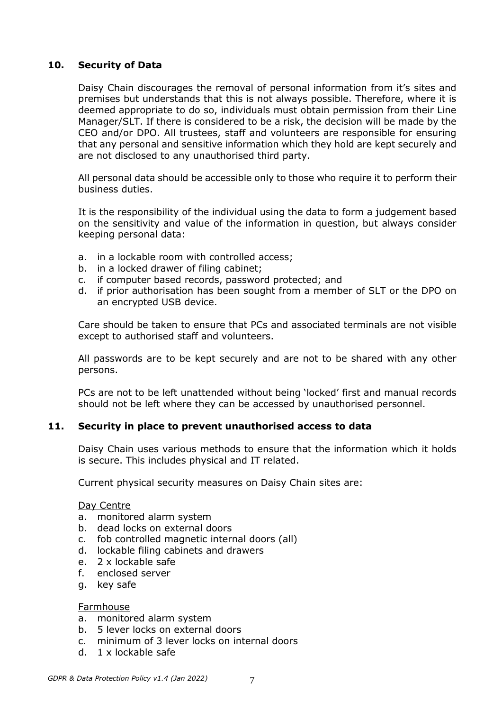#### **10. Security of Data**

Daisy Chain discourages the removal of personal information from it's sites and premises but understands that this is not always possible. Therefore, where it is deemed appropriate to do so, individuals must obtain permission from their Line Manager/SLT. If there is considered to be a risk, the decision will be made by the CEO and/or DPO. All trustees, staff and volunteers are responsible for ensuring that any personal and sensitive information which they hold are kept securely and are not disclosed to any unauthorised third party.

All personal data should be accessible only to those who require it to perform their business duties.

It is the responsibility of the individual using the data to form a judgement based on the sensitivity and value of the information in question, but always consider keeping personal data:

- a. in a lockable room with controlled access;
- b. in a locked drawer of filing cabinet;
- c. if computer based records, password protected; and
- d. if prior authorisation has been sought from a member of SLT or the DPO on an encrypted USB device.

Care should be taken to ensure that PCs and associated terminals are not visible except to authorised staff and volunteers.

All passwords are to be kept securely and are not to be shared with any other persons.

PCs are not to be left unattended without being 'locked' first and manual records should not be left where they can be accessed by unauthorised personnel.

#### **11. Security in place to prevent unauthorised access to data**

Daisy Chain uses various methods to ensure that the information which it holds is secure. This includes physical and IT related.

Current physical security measures on Daisy Chain sites are:

#### Day Centre

- a. monitored alarm system
- b. dead locks on external doors
- c. fob controlled magnetic internal doors (all)
- d. lockable filing cabinets and drawers
- e. 2 x lockable safe
- f. enclosed server
- g. key safe

#### Farmhouse

- a. monitored alarm system
- b. 5 lever locks on external doors
- c. minimum of 3 lever locks on internal doors
- d. 1 x lockable safe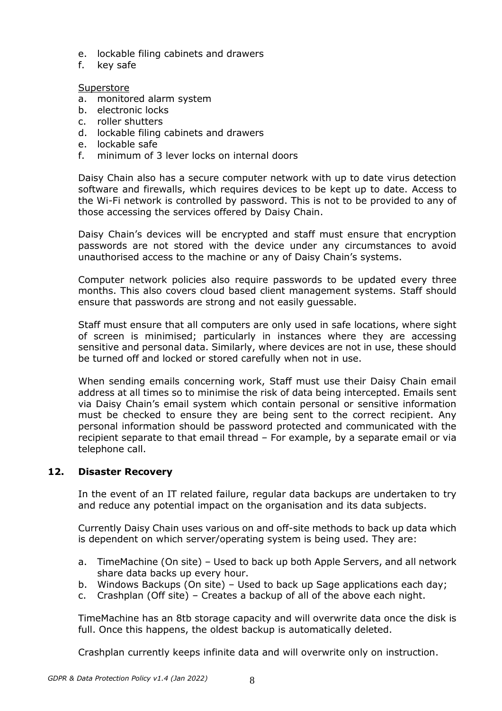- e. lockable filing cabinets and drawers
- f. key safe

#### Superstore

- a. monitored alarm system
- b. electronic locks
- c. roller shutters
- d. lockable filing cabinets and drawers
- e. lockable safe
- f. minimum of 3 lever locks on internal doors

Daisy Chain also has a secure computer network with up to date virus detection software and firewalls, which requires devices to be kept up to date. Access to the Wi-Fi network is controlled by password. This is not to be provided to any of those accessing the services offered by Daisy Chain.

Daisy Chain's devices will be encrypted and staff must ensure that encryption passwords are not stored with the device under any circumstances to avoid unauthorised access to the machine or any of Daisy Chain's systems.

Computer network policies also require passwords to be updated every three months. This also covers cloud based client management systems. Staff should ensure that passwords are strong and not easily guessable.

Staff must ensure that all computers are only used in safe locations, where sight of screen is minimised; particularly in instances where they are accessing sensitive and personal data. Similarly, where devices are not in use, these should be turned off and locked or stored carefully when not in use.

When sending emails concerning work, Staff must use their Daisy Chain email address at all times so to minimise the risk of data being intercepted. Emails sent via Daisy Chain's email system which contain personal or sensitive information must be checked to ensure they are being sent to the correct recipient. Any personal information should be password protected and communicated with the recipient separate to that email thread – For example, by a separate email or via telephone call.

#### **12. Disaster Recovery**

In the event of an IT related failure, regular data backups are undertaken to try and reduce any potential impact on the organisation and its data subjects.

Currently Daisy Chain uses various on and off-site methods to back up data which is dependent on which server/operating system is being used. They are:

- a. TimeMachine (On site) Used to back up both Apple Servers, and all network share data backs up every hour.
- b. Windows Backups (On site) Used to back up Sage applications each day;
- c. Crashplan (Off site) Creates a backup of all of the above each night.

TimeMachine has an 8tb storage capacity and will overwrite data once the disk is full. Once this happens, the oldest backup is automatically deleted.

Crashplan currently keeps infinite data and will overwrite only on instruction.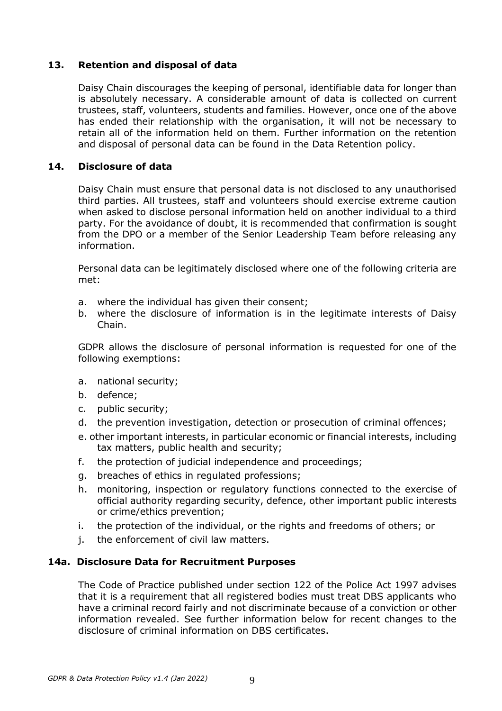### **13. Retention and disposal of data**

Daisy Chain discourages the keeping of personal, identifiable data for longer than is absolutely necessary. A considerable amount of data is collected on current trustees, staff, volunteers, students and families. However, once one of the above has ended their relationship with the organisation, it will not be necessary to retain all of the information held on them. Further information on the retention and disposal of personal data can be found in the Data Retention policy.

### **14. Disclosure of data**

Daisy Chain must ensure that personal data is not disclosed to any unauthorised third parties. All trustees, staff and volunteers should exercise extreme caution when asked to disclose personal information held on another individual to a third party. For the avoidance of doubt, it is recommended that confirmation is sought from the DPO or a member of the Senior Leadership Team before releasing any information.

Personal data can be legitimately disclosed where one of the following criteria are met:

- a. where the individual has given their consent;
- b. where the disclosure of information is in the legitimate interests of Daisy Chain.

GDPR allows the disclosure of personal information is requested for one of the following exemptions:

- a. national security;
- b. defence;
- c. public security;
- d. the prevention investigation, detection or prosecution of criminal offences;
- e. other important interests, in particular economic or financial interests, including tax matters, public health and security;
- f. the protection of judicial independence and proceedings;
- g. breaches of ethics in regulated professions;
- h. monitoring, inspection or regulatory functions connected to the exercise of official authority regarding security, defence, other important public interests or crime/ethics prevention;
- i. the protection of the individual, or the rights and freedoms of others; or
- j. the enforcement of civil law matters.

#### **14a. Disclosure Data for Recruitment Purposes**

The Code of Practice published under section 122 of the Police Act 1997 advises that it is a requirement that all registered bodies must treat DBS applicants who have a criminal record fairly and not discriminate because of a conviction or other information revealed. See further information below for recent changes to the disclosure of criminal information on DBS certificates.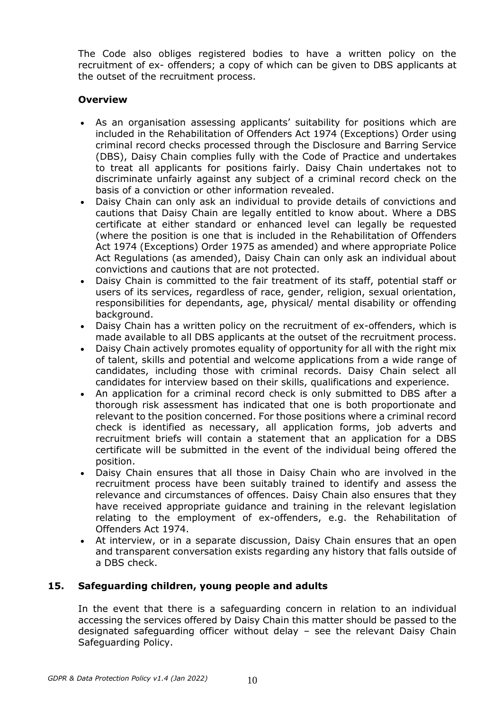The Code also obliges registered bodies to have a written policy on the recruitment of ex- offenders; a copy of which can be given to DBS applicants at the outset of the recruitment process.

### **Overview**

- As an organisation assessing applicants' suitability for positions which are included in the Rehabilitation of Offenders Act 1974 (Exceptions) Order using criminal record checks processed through the Disclosure and Barring Service (DBS), Daisy Chain complies fully with the Code of Practice and undertakes to treat all applicants for positions fairly. Daisy Chain undertakes not to discriminate unfairly against any subject of a criminal record check on the basis of a conviction or other information revealed.
- Daisy Chain can only ask an individual to provide details of convictions and cautions that Daisy Chain are legally entitled to know about. Where a DBS certificate at either standard or enhanced level can legally be requested (where the position is one that is included in the Rehabilitation of Offenders Act 1974 (Exceptions) Order 1975 as amended) and where appropriate Police Act Regulations (as amended), Daisy Chain can only ask an individual about convictions and cautions that are not protected.
- Daisy Chain is committed to the fair treatment of its staff, potential staff or users of its services, regardless of race, gender, religion, sexual orientation, responsibilities for dependants, age, physical/ mental disability or offending background.
- Daisy Chain has a written policy on the recruitment of ex-offenders, which is made available to all DBS applicants at the outset of the recruitment process.
- Daisy Chain actively promotes equality of opportunity for all with the right mix of talent, skills and potential and welcome applications from a wide range of candidates, including those with criminal records. Daisy Chain select all candidates for interview based on their skills, qualifications and experience.
- An application for a criminal record check is only submitted to DBS after a thorough risk assessment has indicated that one is both proportionate and relevant to the position concerned. For those positions where a criminal record check is identified as necessary, all application forms, job adverts and recruitment briefs will contain a statement that an application for a DBS certificate will be submitted in the event of the individual being offered the position.
- Daisy Chain ensures that all those in Daisy Chain who are involved in the recruitment process have been suitably trained to identify and assess the relevance and circumstances of offences. Daisy Chain also ensures that they have received appropriate guidance and training in the relevant legislation relating to the employment of ex-offenders, e.g. the Rehabilitation of Offenders Act 1974.
- At interview, or in a separate discussion, Daisy Chain ensures that an open and transparent conversation exists regarding any history that falls outside of a DBS check.

#### **15. Safeguarding children, young people and adults**

In the event that there is a safeguarding concern in relation to an individual accessing the services offered by Daisy Chain this matter should be passed to the designated safeguarding officer without delay – see the relevant Daisy Chain Safeguarding Policy.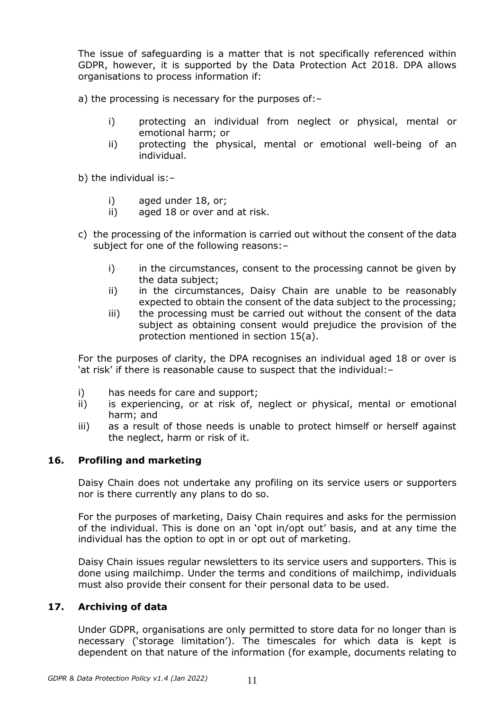The issue of safeguarding is a matter that is not specifically referenced within GDPR, however, it is supported by the Data Protection Act 2018. DPA allows organisations to process information if:

a) the processing is necessary for the purposes of:–

- i) protecting an individual from neglect or physical, mental or emotional harm; or
- ii) protecting the physical, mental or emotional well-being of an individual.

b) the individual is:–

- i) aged under 18, or;
- ii) aged 18 or over and at risk.
- c) the processing of the information is carried out without the consent of the data subject for one of the following reasons:–
	- i) in the circumstances, consent to the processing cannot be given by the data subject;
	- ii) in the circumstances, Daisy Chain are unable to be reasonably expected to obtain the consent of the data subject to the processing;
	- iii) the processing must be carried out without the consent of the data subject as obtaining consent would prejudice the provision of the protection mentioned in section 15(a).

For the purposes of clarity, the DPA recognises an individual aged 18 or over is 'at risk' if there is reasonable cause to suspect that the individual:–

- i) has needs for care and support;
- ii) is experiencing, or at risk of, neglect or physical, mental or emotional harm; and
- iii) as a result of those needs is unable to protect himself or herself against the neglect, harm or risk of it.

#### **16. Profiling and marketing**

Daisy Chain does not undertake any profiling on its service users or supporters nor is there currently any plans to do so.

For the purposes of marketing, Daisy Chain requires and asks for the permission of the individual. This is done on an 'opt in/opt out' basis, and at any time the individual has the option to opt in or opt out of marketing.

Daisy Chain issues regular newsletters to its service users and supporters. This is done using mailchimp. Under the terms and conditions of mailchimp, individuals must also provide their consent for their personal data to be used.

#### **17. Archiving of data**

Under GDPR, organisations are only permitted to store data for no longer than is necessary ('storage limitation'). The timescales for which data is kept is dependent on that nature of the information (for example, documents relating to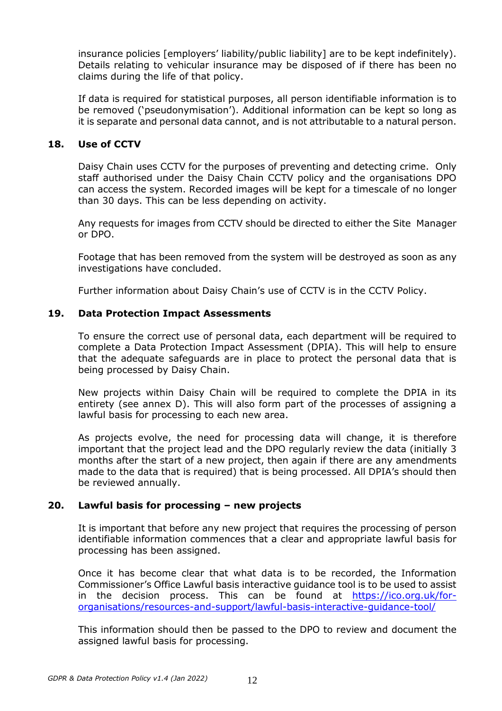insurance policies [employers' liability/public liability] are to be kept indefinitely). Details relating to vehicular insurance may be disposed of if there has been no claims during the life of that policy.

If data is required for statistical purposes, all person identifiable information is to be removed ('pseudonymisation'). Additional information can be kept so long as it is separate and personal data cannot, and is not attributable to a natural person.

#### **18. Use of CCTV**

Daisy Chain uses CCTV for the purposes of preventing and detecting crime. Only staff authorised under the Daisy Chain CCTV policy and the organisations DPO can access the system. Recorded images will be kept for a timescale of no longer than 30 days. This can be less depending on activity.

Any requests for images from CCTV should be directed to either the Site Manager or DPO.

Footage that has been removed from the system will be destroyed as soon as any investigations have concluded.

Further information about Daisy Chain's use of CCTV is in the CCTV Policy.

#### **19. Data Protection Impact Assessments**

To ensure the correct use of personal data, each department will be required to complete a Data Protection Impact Assessment (DPIA). This will help to ensure that the adequate safeguards are in place to protect the personal data that is being processed by Daisy Chain.

New projects within Daisy Chain will be required to complete the DPIA in its entirety (see annex D). This will also form part of the processes of assigning a lawful basis for processing to each new area.

As projects evolve, the need for processing data will change, it is therefore important that the project lead and the DPO regularly review the data (initially 3 months after the start of a new project, then again if there are any amendments made to the data that is required) that is being processed. All DPIA's should then be reviewed annually.

#### **20. Lawful basis for processing – new projects**

It is important that before any new project that requires the processing of person identifiable information commences that a clear and appropriate lawful basis for processing has been assigned.

Once it has become clear that what data is to be recorded, the Information Commissioner's Office Lawful basis interactive guidance tool is to be used to assist in the decision process. This can be found at [https://ico.org.uk/for](https://ico.org.uk/for-organisations/resources-and-support/lawful-basis-interactive-guidance-tool/)[organisations/resources-and-support/lawful-basis-interactive-guidance-tool/](https://ico.org.uk/for-organisations/resources-and-support/lawful-basis-interactive-guidance-tool/)

This information should then be passed to the DPO to review and document the assigned lawful basis for processing.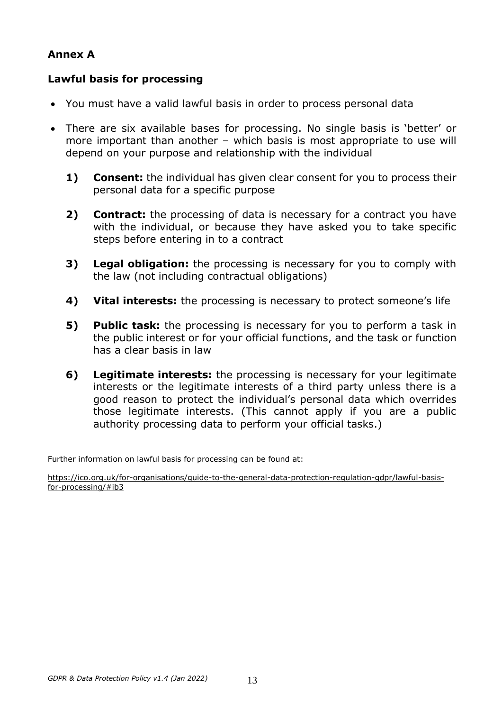### **Annex A**

### **Lawful basis for processing**

- You must have a valid lawful basis in order to process personal data
- There are six available bases for processing. No single basis is 'better' or more important than another – which basis is most appropriate to use will depend on your purpose and relationship with the individual
	- **1) Consent:** the individual has given clear consent for you to process their personal data for a specific purpose
	- **2) Contract:** the processing of data is necessary for a contract you have with the individual, or because they have asked you to take specific steps before entering in to a contract
	- **3) Legal obligation:** the processing is necessary for you to comply with the law (not including contractual obligations)
	- **4) Vital interests:** the processing is necessary to protect someone's life
	- **5) Public task:** the processing is necessary for you to perform a task in the public interest or for your official functions, and the task or function has a clear basis in law
	- **6) Legitimate interests:** the processing is necessary for your legitimate interests or the legitimate interests of a third party unless there is a good reason to protect the individual's personal data which overrides those legitimate interests. (This cannot apply if you are a public authority processing data to perform your official tasks.)

Further information on lawful basis for processing can be found at:

[https://ico.org.uk/for-organisations/guide-to-the-general-data-protection-regulation-gdpr/lawful-basis](https://ico.org.uk/for-organisations/guide-to-the-general-data-protection-regulation-gdpr/lawful-basis-for-processing/#ib3)[for-processing/#ib3](https://ico.org.uk/for-organisations/guide-to-the-general-data-protection-regulation-gdpr/lawful-basis-for-processing/#ib3)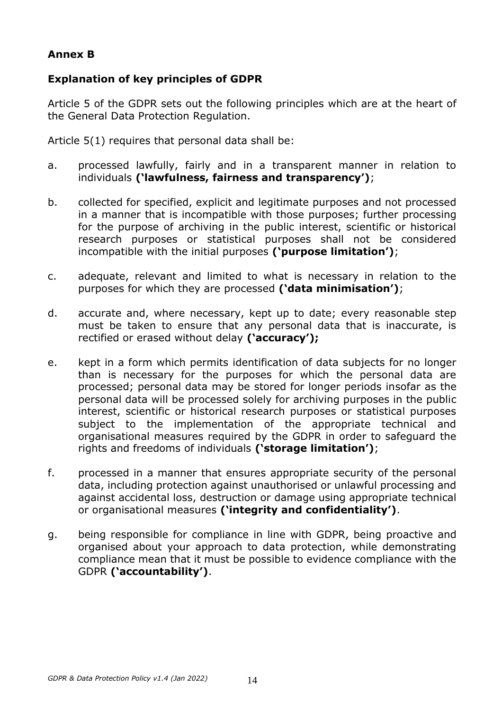## **Annex B**

## **Explanation of key principles of GDPR**

Article 5 of the GDPR sets out the following principles which are at the heart of the General Data Protection Regulation.

Article 5(1) requires that personal data shall be:

- a. processed lawfully, fairly and in a transparent manner in relation to individuals **('lawfulness, fairness and transparency')**;
- b. collected for specified, explicit and legitimate purposes and not processed in a manner that is incompatible with those purposes; further processing for the purpose of archiving in the public interest, scientific or historical research purposes or statistical purposes shall not be considered incompatible with the initial purposes **('purpose limitation')**;
- c. adequate, relevant and limited to what is necessary in relation to the purposes for which they are processed **('data minimisation')**;
- d. accurate and, where necessary, kept up to date; every reasonable step must be taken to ensure that any personal data that is inaccurate, is rectified or erased without delay **('accuracy');**
- e. kept in a form which permits identification of data subjects for no longer than is necessary for the purposes for which the personal data are processed; personal data may be stored for longer periods insofar as the personal data will be processed solely for archiving purposes in the public interest, scientific or historical research purposes or statistical purposes subject to the implementation of the appropriate technical and organisational measures required by the GDPR in order to safeguard the rights and freedoms of individuals **('storage limitation')**;
- f. processed in a manner that ensures appropriate security of the personal data, including protection against unauthorised or unlawful processing and against accidental loss, destruction or damage using appropriate technical or organisational measures **('integrity and confidentiality')**.
- g. being responsible for compliance in line with GDPR, being proactive and organised about your approach to data protection, while demonstrating compliance mean that it must be possible to evidence compliance with the GDPR **('accountability')**.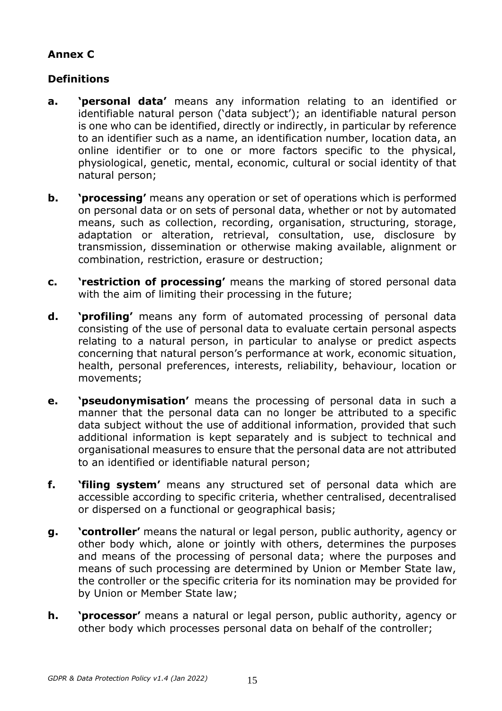# **Annex C**

# **Definitions**

- **a. 'personal data'** means any information relating to an identified or identifiable natural person ('data subject'); an identifiable natural person is one who can be identified, directly or indirectly, in particular by reference to an identifier such as a name, an identification number, location data, an online identifier or to one or more factors specific to the physical, physiological, genetic, mental, economic, cultural or social identity of that natural person;
- **b. 'processing'** means any operation or set of operations which is performed on personal data or on sets of personal data, whether or not by automated means, such as collection, recording, organisation, structuring, storage, adaptation or alteration, retrieval, consultation, use, disclosure by transmission, dissemination or otherwise making available, alignment or combination, restriction, erasure or destruction;
- **c. 'restriction of processing'** means the marking of stored personal data with the aim of limiting their processing in the future;
- **d. 'profiling'** means any form of automated processing of personal data consisting of the use of personal data to evaluate certain personal aspects relating to a natural person, in particular to analyse or predict aspects concerning that natural person's performance at work, economic situation, health, personal preferences, interests, reliability, behaviour, location or movements;
- **e. 'pseudonymisation'** means the processing of personal data in such a manner that the personal data can no longer be attributed to a specific data subject without the use of additional information, provided that such additional information is kept separately and is subject to technical and organisational measures to ensure that the personal data are not attributed to an identified or identifiable natural person;
- **f. 'filing system'** means any structured set of personal data which are accessible according to specific criteria, whether centralised, decentralised or dispersed on a functional or geographical basis;
- **g. 'controller'** means the natural or legal person, public authority, agency or other body which, alone or jointly with others, determines the purposes and means of the processing of personal data; where the purposes and means of such processing are determined by Union or Member State law, the controller or the specific criteria for its nomination may be provided for by Union or Member State law;
- **h. 'processor'** means a natural or legal person, public authority, agency or other body which processes personal data on behalf of the controller;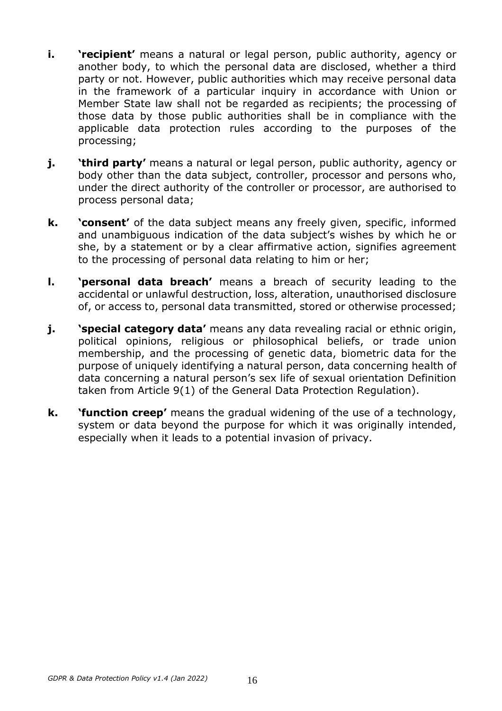- **i. 'recipient'** means a natural or legal person, public authority, agency or another body, to which the personal data are disclosed, whether a third party or not. However, public authorities which may receive personal data in the framework of a particular inquiry in accordance with Union or Member State law shall not be regarded as recipients; the processing of those data by those public authorities shall be in compliance with the applicable data protection rules according to the purposes of the processing;
- **j. 'third party'** means a natural or legal person, public authority, agency or body other than the data subject, controller, processor and persons who, under the direct authority of the controller or processor, are authorised to process personal data;
- **k. 'consent'** of the data subject means any freely given, specific, informed and unambiguous indication of the data subject's wishes by which he or she, by a statement or by a clear affirmative action, signifies agreement to the processing of personal data relating to him or her;
- **l. 'personal data breach'** means a breach of security leading to the accidental or unlawful destruction, loss, alteration, unauthorised disclosure of, or access to, personal data transmitted, stored or otherwise processed;
- **j. Special category data'** means any data revealing racial or ethnic origin, political opinions, religious or philosophical beliefs, or trade union membership, and the processing of genetic data, biometric data for the purpose of uniquely identifying a natural person, data concerning health of data concerning a natural person's sex life of sexual orientation Definition taken from Article 9(1) of the General Data Protection Regulation).
- **k. 'function creep'** means the gradual widening of the use of a technology, system or data beyond the purpose for which it was originally intended, especially when it leads to a potential invasion of privacy.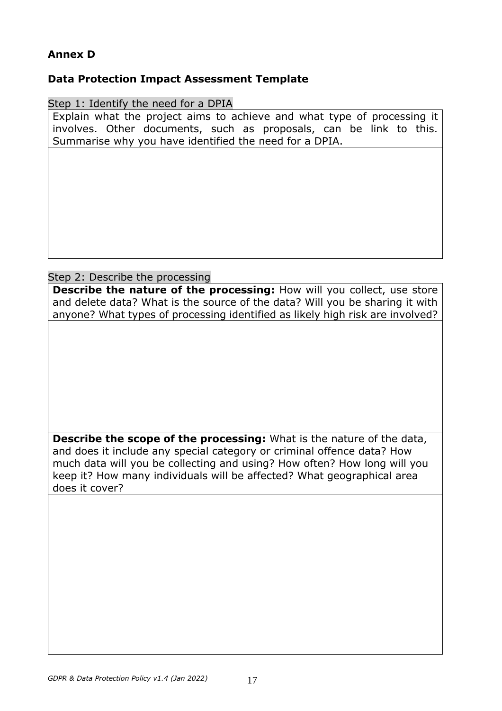## **Annex D**

### **Data Protection Impact Assessment Template**

Step 1: Identify the need for a DPIA

Explain what the project aims to achieve and what type of processing it involves. Other documents, such as proposals, can be link to this. Summarise why you have identified the need for a DPIA.

### Step 2: Describe the processing

**Describe the nature of the processing:** How will you collect, use store and delete data? What is the source of the data? Will you be sharing it with anyone? What types of processing identified as likely high risk are involved?

**Describe the scope of the processing:** What is the nature of the data, and does it include any special category or criminal offence data? How much data will you be collecting and using? How often? How long will you keep it? How many individuals will be affected? What geographical area does it cover?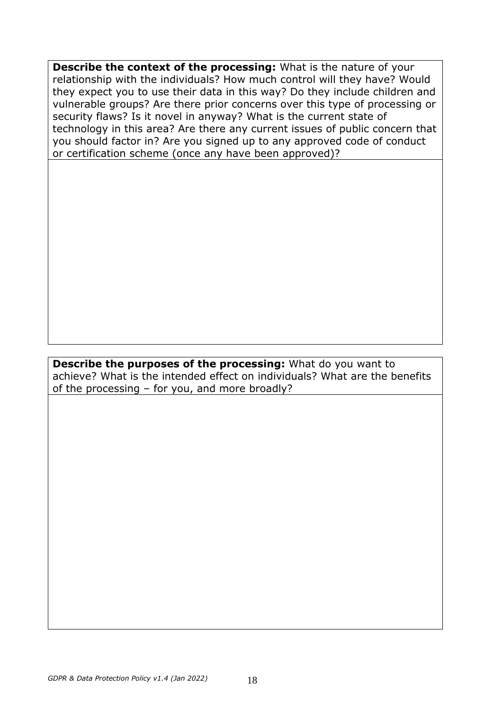**Describe the context of the processing:** What is the nature of your relationship with the individuals? How much control will they have? Would they expect you to use their data in this way? Do they include children and vulnerable groups? Are there prior concerns over this type of processing or security flaws? Is it novel in anyway? What is the current state of technology in this area? Are there any current issues of public concern that you should factor in? Are you signed up to any approved code of conduct or certification scheme (once any have been approved)?

### **Describe the purposes of the processing:** What do you want to achieve? What is the intended effect on individuals? What are the benefits of the processing – for you, and more broadly?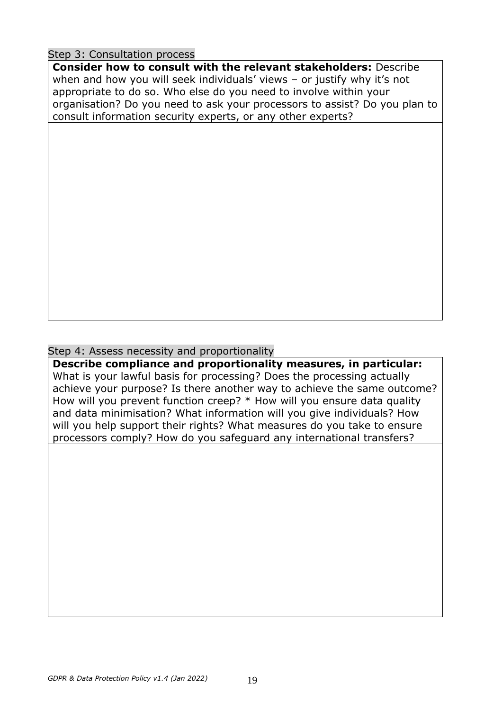### Step 3: Consultation process

**Consider how to consult with the relevant stakeholders:** Describe when and how you will seek individuals' views – or justify why it's not appropriate to do so. Who else do you need to involve within your organisation? Do you need to ask your processors to assist? Do you plan to consult information security experts, or any other experts?

## Step 4: Assess necessity and proportionality

**Describe compliance and proportionality measures, in particular:**  What is your lawful basis for processing? Does the processing actually achieve your purpose? Is there another way to achieve the same outcome? How will you prevent function creep? \* How will you ensure data quality and data minimisation? What information will you give individuals? How will you help support their rights? What measures do you take to ensure processors comply? How do you safeguard any international transfers?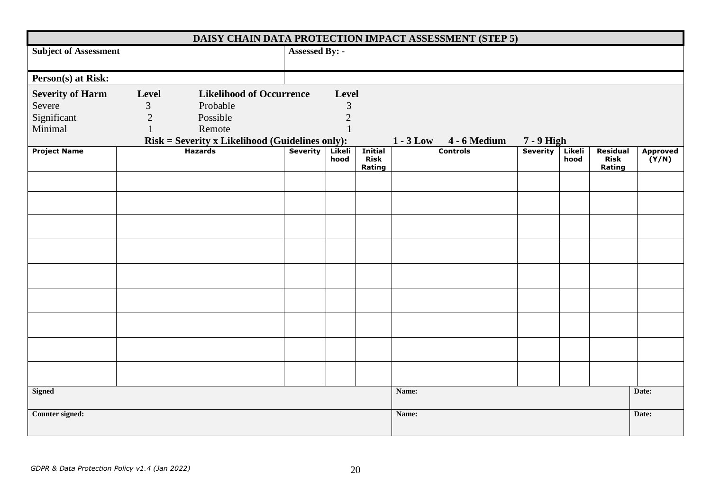| DAISY CHAIN DATA PROTECTION IMPACT ASSESSMENT (STEP 5) |                |                                                                                |  |                |                                         |       |                        |                 |                |                                   |                          |
|--------------------------------------------------------|----------------|--------------------------------------------------------------------------------|--|----------------|-----------------------------------------|-------|------------------------|-----------------|----------------|-----------------------------------|--------------------------|
| <b>Subject of Assessment</b>                           | Assessed By: - |                                                                                |  |                |                                         |       |                        |                 |                |                                   |                          |
| Person(s) at Risk:                                     |                |                                                                                |  |                |                                         |       |                        |                 |                |                                   |                          |
| <b>Severity of Harm</b>                                | Level          | <b>Likelihood of Occurrence</b>                                                |  | Level          |                                         |       |                        |                 |                |                                   |                          |
| Severe                                                 | $\mathfrak{Z}$ | Probable                                                                       |  | $\mathfrak{Z}$ |                                         |       |                        |                 |                |                                   |                          |
| Significant                                            | $\overline{2}$ | Possible                                                                       |  | $\sqrt{2}$     |                                         |       |                        |                 |                |                                   |                          |
| Minimal                                                | $\mathbf{1}$   | Remote                                                                         |  | $\mathbf{1}$   |                                         |       |                        |                 |                |                                   |                          |
|                                                        |                | $Risk = Severity x Likelihood (Guidelines only):\nHazards   Severity   Likeli$ |  |                |                                         |       | 1 - 3 Low 4 - 6 Medium | $7 - 9$ High    |                |                                   |                          |
| <b>Project Name</b>                                    |                |                                                                                |  | Likeli<br>hood | <b>Initial</b><br><b>Risk</b><br>Rating |       | <b>Controls</b>        | <b>Severity</b> | Likeli<br>hood | Residual<br><b>Risk</b><br>Rating | <b>Approved</b><br>(Y/N) |
|                                                        |                |                                                                                |  |                |                                         |       |                        |                 |                |                                   |                          |
|                                                        |                |                                                                                |  |                |                                         |       |                        |                 |                |                                   |                          |
|                                                        |                |                                                                                |  |                |                                         |       |                        |                 |                |                                   |                          |
|                                                        |                |                                                                                |  |                |                                         |       |                        |                 |                |                                   |                          |
|                                                        |                |                                                                                |  |                |                                         |       |                        |                 |                |                                   |                          |
|                                                        |                |                                                                                |  |                |                                         |       |                        |                 |                |                                   |                          |
|                                                        |                |                                                                                |  |                |                                         |       |                        |                 |                |                                   |                          |
|                                                        |                |                                                                                |  |                |                                         |       |                        |                 |                |                                   |                          |
|                                                        |                |                                                                                |  |                |                                         |       |                        |                 |                |                                   |                          |
|                                                        |                |                                                                                |  |                |                                         |       |                        |                 |                |                                   |                          |
|                                                        |                |                                                                                |  |                |                                         |       |                        |                 |                |                                   |                          |
| <b>Signed</b>                                          |                |                                                                                |  |                |                                         | Name: |                        |                 |                |                                   | Date:                    |
|                                                        |                |                                                                                |  |                |                                         |       |                        |                 |                |                                   |                          |
| Counter signed:                                        |                |                                                                                |  | Name:          |                                         |       |                        |                 | Date:          |                                   |                          |